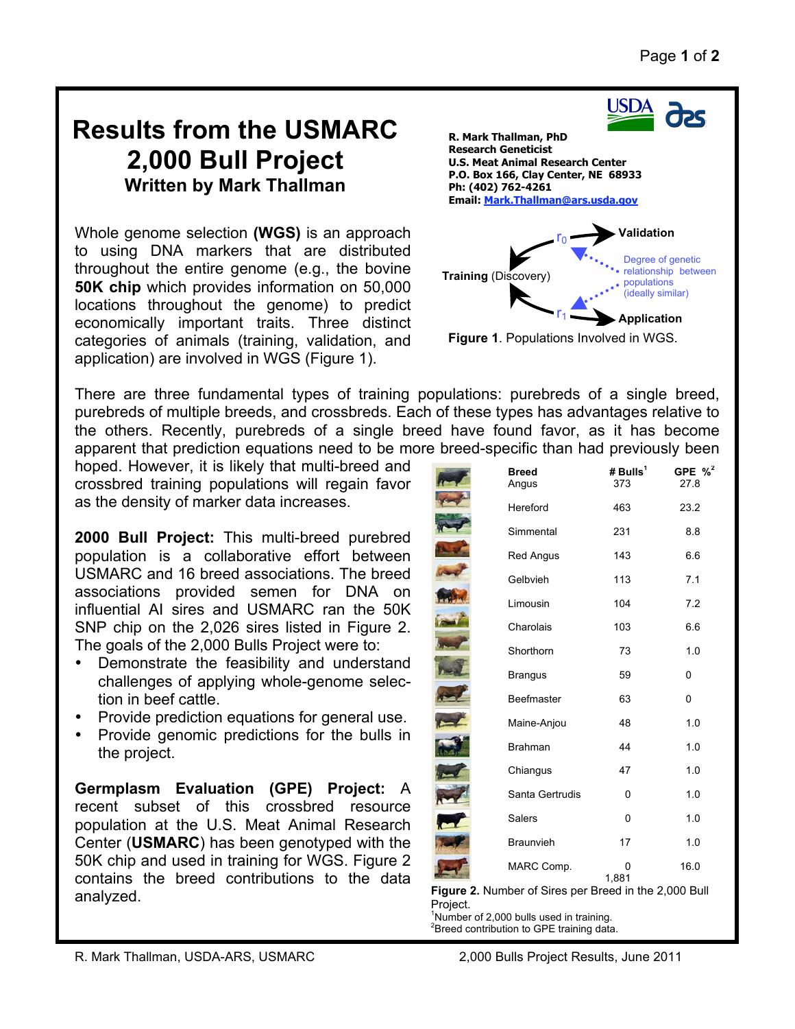## **Results from the USMARC 2,000 Bull Project Written by Mark Thallman**

Whole genome selection **(WGS)** is an approach to using DNA markers that are distributed throughout the entire genome (e.g., the bovine **50K chip** which provides information on 50,000 locations throughout the genome) to predict economically important traits. Three distinct categories of animals (training, validation, and application) are involved in WGS (Figure 1).



There are three fundamental types of training populations: purebreds of a single breed, purebreds of multiple breeds, and crossbreds. Each of these types has advantages relative to the others. Recently, purebreds of a single breed have found favor, as it has become apparent that prediction equations need to be more breed-specific than had previously been

hoped. However, it is likely that multi-breed and crossbred training populations will regain favor as the density of marker data increases.

**2000 Bull Project:** This multi-breed purebred population is a collaborative effort between USMARC and 16 breed associations. The breed associations provided semen for DNA on influential AI sires and USMARC ran the 50K SNP chip on the 2,026 sires listed in Figure 2. The goals of the 2,000 Bulls Project were to:

- Demonstrate the feasibility and understand challenges of applying whole-genome selection in beef cattle.
- Provide prediction equations for general use.
- Provide genomic predictions for the bulls in the project.

**Germplasm Evaluation (GPE) Project:** A recent subset of this crossbred resource population at the U.S. Meat Animal Research Center (**USMARC**) has been genotyped with the 50K chip and used in training for WGS. Figure 2 contains the breed contributions to the data analyzed.

| <b>Breed</b><br>Angus | # $Bulls1$<br>373 | GPE $\%^2$<br>27.8 |
|-----------------------|-------------------|--------------------|
| Hereford              | 463               | 23.2               |
| Simmental             | 231               | 8.8                |
| <b>Red Angus</b>      | 143               | 6.6                |
| Gelbvieh              | 113               | 7.1                |
| Limousin              | 104               | 7.2                |
| Charolais             | 103               | 6.6                |
| Shorthorn             | 73                | 1.0                |
| <b>Brangus</b>        | 59                | 0                  |
| Beefmaster            | 63                | 0                  |
| Maine-Anjou           | 48                | 1.0                |
| Brahman               | 44                | 1.0                |
| Chiangus              | 47                | 1.0                |
| Santa Gertrudis       | 0                 | 1.0                |
| <b>Salers</b>         | 0                 | 1.0                |
| <b>Braunvieh</b>      | 17                | 1.0                |
| MARC Comp.            | 0<br>1,881        | 16.0               |

**Figure 2.** Number of Sires per Breed in the 2,000 Bull Project.

<sup>1</sup>Number of 2,000 bulls used in training.  ${}^{2}$ Breed contribution to GPE training data.